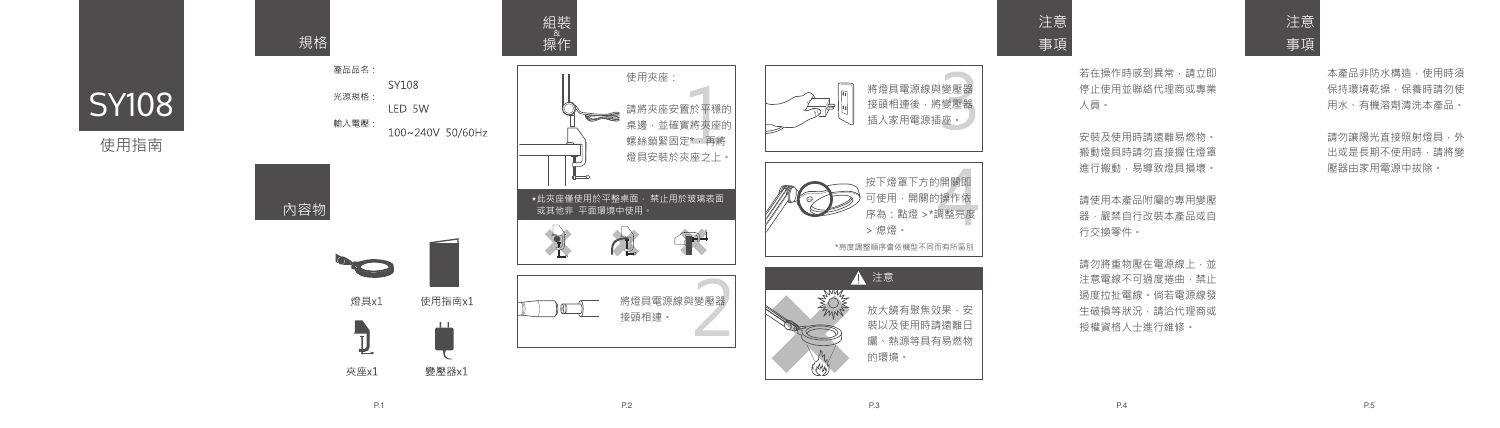使用指南

組裝<br>《 規格 操作 產品品名: 使用夾座: SY108 將燈具電源線與變壓器 光源規格: 接頭相連後,將變壓器 LED 5W 請將夾座安置於平穩的  $\sum_{i=1}^{n}$ 插入家用電源插座。 輸入電壓: 桌邊,並確實將夾座的 100~240V 50/60Hz 螺絲鎖緊固定\*,再將 燈具安裝於夾座之上。 按下燈罩下方的開關即 可使用,開關的操作依 此夾座僅使用於平整桌面, 禁止用於玻璃表面 內容物 或其他非 平面環境中使用。 序為:點燈 >\*調整亮度 > 熄燈。 平 \*亮度調整順序會依機型不同而有所區別 一 ▲ 注意 將燈具電源線與變壓器 燈具x1 使用指南x1  $\sqrt{0}$ 放大鏡有聚焦效果,安 接頭相連。 裝以及使用時請遠離日  $\overline{\mathbb{J}}$ 曬、熱源等具有易燃物 的環境。 Ly 夾座x1 變壓器x1



安裝及使用時請遠離易燃物。 搬動燈具時請勿直接握住燈罩 進行搬動,易導致燈具損壞。

注意 事項

> 若在操作時感到異常,請立即 停止使用並聯絡代理商或專業 人員。

請勿將重物壓在電源線上,並 注意電線不可過度捲曲,禁止 過度拉扯電線。倘若電源線發 生破損等狀況,請洽代理商或 授權資格人士進行維修。

本產品非防水構造,使用時須 保持環境乾操,保養時請勿使 用水、有機溶劑清洗本產品。

請勿讓陽光直接照射燈具,外 出或是長期不使用時,請將變 壓器由家用電源中拔除。

請使用本產品附屬的專用變壓 器,嚴禁自行改裝本產品或自 行交換零件。